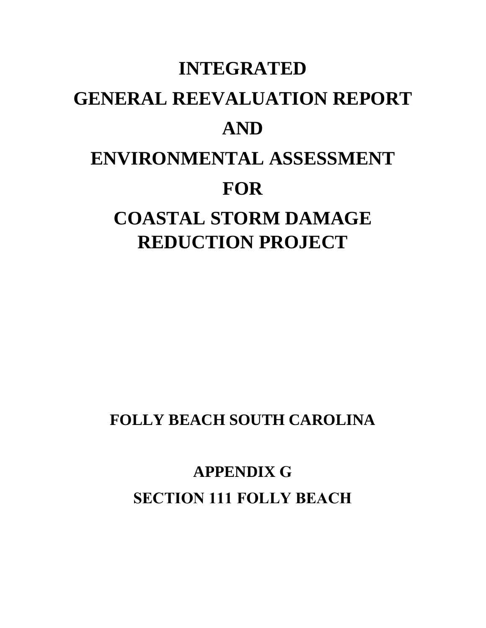# **INTEGRATED GENERAL REEVALUATION REPORT AND ENVIRONMENTAL ASSESSMENT FOR COASTAL STORM DAMAGE REDUCTION PROJECT**

**FOLLY BEACH SOUTH CAROLINA** 

**APPENDIX G SECTION 111 FOLLY BEACH**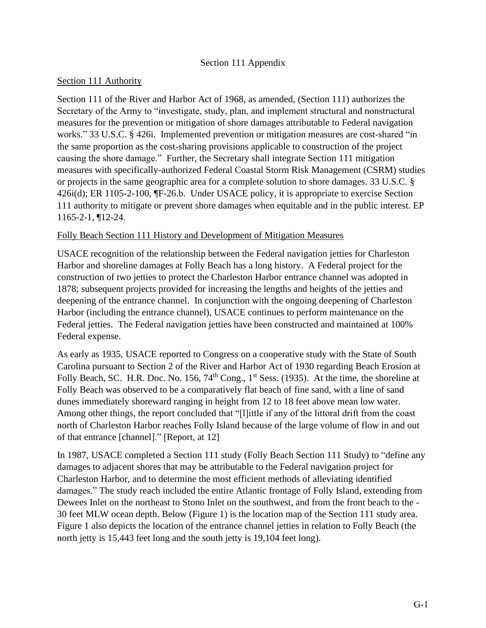## Section 111 Appendix

#### Section 111 Authority

Section 111 of the River and Harbor Act of 1968, as amended, (Section 111) authorizes the Secretary of the Army to "investigate, study, plan, and implement structural and nonstructural measures for the prevention or mitigation of shore damages attributable to Federal navigation works." 33 U.S.C. § 426i. Implemented prevention or mitigation measures are cost-shared "in the same proportion as the cost-sharing provisions applicable to construction of the project causing the shore damage." Further, the Secretary shall integrate Section 111 mitigation measures with specifically-authorized Federal Coastal Storm Risk Management (CSRM) studies or projects in the same geographic area for a complete solution to shore damages. 33 U.S.C. § 426i(d); ER 1105-2-100, ¶F-26.b. Under USACE policy, it is appropriate to exercise Section 111 authority to mitigate or prevent shore damages when equitable and in the public interest. EP 1165-2-1, ¶12-24.

### Folly Beach Section 111 History and Development of Mitigation Measures

USACE recognition of the relationship between the Federal navigation jetties for Charleston Harbor and shoreline damages at Folly Beach has a long history. A Federal project for the construction of two jetties to protect the Charleston Harbor entrance channel was adopted in 1878; subsequent projects provided for increasing the lengths and heights of the jetties and deepening of the entrance channel. In conjunction with the ongoing deepening of Charleston Harbor (including the entrance channel), USACE continues to perform maintenance on the Federal jetties. The Federal navigation jetties have been constructed and maintained at 100% Federal expense.

As early as 1935, USACE reported to Congress on a cooperative study with the State of South Carolina pursuant to Section 2 of the River and Harbor Act of 1930 regarding Beach Erosion at Folly Beach, SC. H.R. Doc. No. 156, 74<sup>th</sup> Cong., 1<sup>st</sup> Sess. (1935). At the time, the shoreline at Folly Beach was observed to be a comparatively flat beach of fine sand, with a line of sand dunes immediately shoreward ranging in height from 12 to 18 feet above mean low water. Among other things, the report concluded that "[l]ittle if any of the littoral drift from the coast north of Charleston Harbor reaches Folly Island because of the large volume of flow in and out of that entrance [channel]." [Report, at 12]

In 1987, USACE completed a Section 111 study (Folly Beach Section 111 Study) to "define any damages to adjacent shores that may be attributable to the Federal navigation project for Charleston Harbor, and to determine the most efficient methods of alleviating identified damages." The study reach included the entire Atlantic frontage of Folly Island, extending from Dewees Inlet on the northeast to Stono Inlet on the southwest, and from the front beach to the - 30 feet MLW ocean depth. Below (Figure 1) is the location map of the Section 111 study area. Figure 1 also depicts the location of the entrance channel jetties in relation to Folly Beach (the north jetty is 15,443 feet long and the south jetty is 19,104 feet long).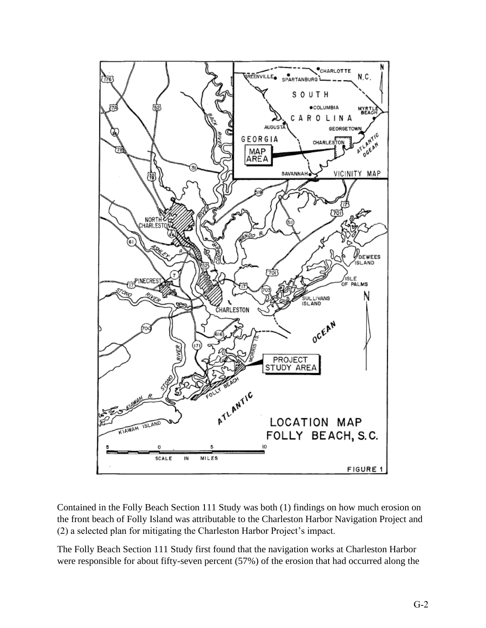

Contained in the Folly Beach Section 111 Study was both (1) findings on how much erosion on the front beach of Folly Island was attributable to the Charleston Harbor Navigation Project and (2) a selected plan for mitigating the Charleston Harbor Project's impact.

The Folly Beach Section 111 Study first found that the navigation works at Charleston Harbor were responsible for about fifty-seven percent (57%) of the erosion that had occurred along the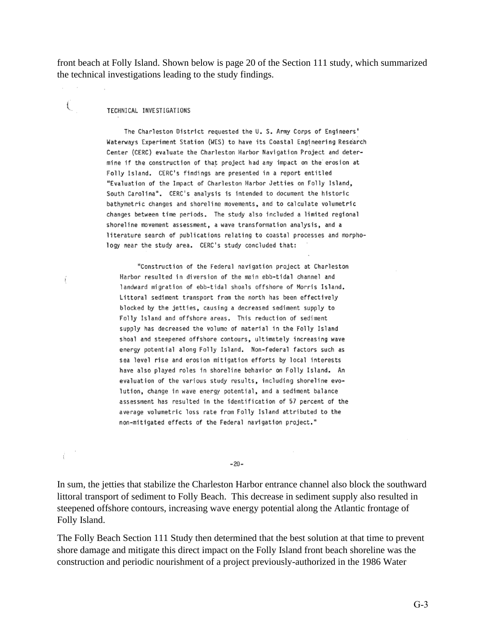front beach at Folly Island. Shown below is page 20 of the Section 111 study, which summarized the technical investigations leading to the study findings.

#### TECHNICAL INVESTIGATIONS

€

The Charleston District requested the U. S. Army Corps of Engineers' Waterways Experiment Station (WES) to have its Coastal Engineering Research Center (CERC) evaluate the Charleston Harbor Navigation Project and determine if the construction of that project had any impact on the erosion at Folly Island. CERC's findings are presented in a report entitled "Evaluation of the Impact of Charleston Harbor Jetties on Folly Island, South Carolina". CERC's analysis is intended to document the historic bathymetric changes and shoreline movements, and to calculate volumetric changes between time periods. The study also included a limited regional shoreline movement assessment, a wave transformation analysis, and a literature search of publications relating to coastal processes and morphology near the study area. CERC's study concluded that:

"Construction of the Federal navigation project at Charleston Harbor resulted in diversion of the main ebb-tidal channel and landward migration of ebb-tidal shoals offshore of Morris Island. Littoral sediment transport from the north has been effectively blocked by the jetties, causing a decreased sediment supply to Folly Island and offshore areas. This reduction of sediment supply has decreased the volume of material in the Folly Island shoal and steepened offshore contours, ultimately increasing wave energy potential along Folly Island. Non-federal factors such as sea level rise and erosion mitigation efforts by local interests have also played roles in shoreline behavior on Folly Island. An evaluation of the various study results, including shoreline evolution, change in wave energy potential, and a sediment balance assessment has resulted in the identification of 57 percent of the average volumetric loss rate from Folly Island attributed to the non-mitigated effects of the Federal navigation project."

 $-20-$ 

In sum, the jetties that stabilize the Charleston Harbor entrance channel also block the southward littoral transport of sediment to Folly Beach. This decrease in sediment supply also resulted in steepened offshore contours, increasing wave energy potential along the Atlantic frontage of Folly Island.

The Folly Beach Section 111 Study then determined that the best solution at that time to prevent shore damage and mitigate this direct impact on the Folly Island front beach shoreline was the construction and periodic nourishment of a project previously-authorized in the 1986 Water